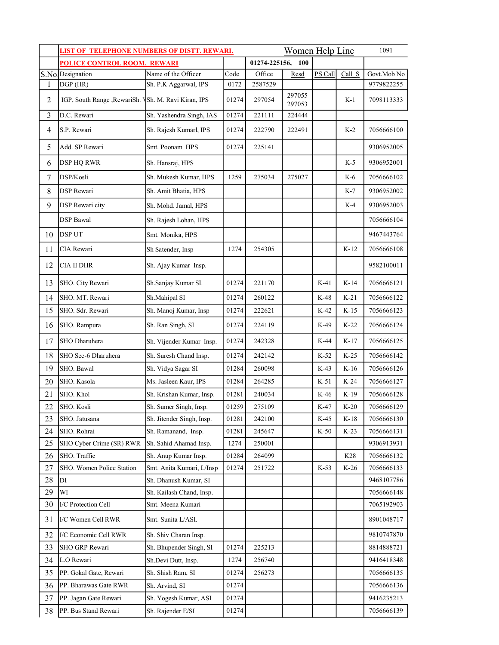|                          | <b>LIST OF TELEPHONE NUMBERS OF DISTT. REWARI.</b>   | Women Help Line           |       |               |                  | 1091    |        |             |
|--------------------------|------------------------------------------------------|---------------------------|-------|---------------|------------------|---------|--------|-------------|
|                          | <b>POLICE CONTROL ROOM, REWARI</b>                   |                           |       | 01274-225156, | 100              |         |        |             |
|                          | S.No.Designation                                     | Name of the Officer       | Code  | Office        | Resd             | PS Call | Call S | Govt.Mob No |
| 1                        | DGP (HR)                                             | Sh. P.K Aggarwal, IPS     | 0172  | 2587529       |                  |         |        | 9779822255  |
| $\overline{2}$           | IGP, South Range , RewariSh. VSh. M. Ravi Kiran, IPS |                           | 01274 | 297054        | 297055<br>297053 |         | $K-1$  | 7098113333  |
| 3                        | D.C. Rewari                                          | Sh. Yashendra Singh, IAS  | 01274 | 221111        | 224444           |         |        |             |
| $\overline{\mathcal{A}}$ | S.P. Rewari                                          | Sh. Rajesh Kumarl, IPS    | 01274 | 222790        | 222491           |         | $K-2$  | 7056666100  |
| 5                        | Add. SP Rewari                                       | Smt. Poonam HPS           | 01274 | 225141        |                  |         |        | 9306952005  |
| 6                        | <b>DSP HQ RWR</b>                                    | Sh. Hansraj, HPS          |       |               |                  |         | $K-5$  | 9306952001  |
| 7                        | DSP/Kosli                                            | Sh. Mukesh Kumar, HPS     | 1259  | 275034        | 275027           |         | $K-6$  | 7056666102  |
| 8                        | <b>DSP</b> Rewari                                    | Sh. Amit Bhatia, HPS      |       |               |                  |         | $K-7$  | 9306952002  |
| 9                        | <b>DSP</b> Rewari city                               | Sh. Mohd. Jamal, HPS      |       |               |                  |         | $K-4$  | 9306952003  |
|                          | <b>DSP</b> Bawal                                     | Sh. Rajesh Lohan, HPS     |       |               |                  |         |        | 7056666104  |
| 10                       | <b>DSPUT</b>                                         | Smt. Monika, HPS          |       |               |                  |         |        | 9467443764  |
| 11                       | CIA Rewari                                           | Sh Satender, Insp         | 1274  | 254305        |                  |         | $K-12$ | 7056666108  |
| 12                       | <b>CIA II DHR</b>                                    | Sh. Ajay Kumar Insp.      |       |               |                  |         |        | 9582100011  |
| 13                       | SHO. City Rewari                                     | Sh.Sanjay Kumar SI.       | 01274 | 221170        |                  | $K-41$  | $K-14$ | 7056666121  |
| 14                       | SHO. MT. Rewari                                      | Sh.Mahipal SI             | 01274 | 260122        |                  | K-48    | $K-21$ | 7056666122  |
| 15                       | SHO. Sdr. Rewari                                     | Sh. Manoj Kumar, Insp     | 01274 | 222621        |                  | $K-42$  | $K-15$ | 7056666123  |
| 16                       | SHO. Rampura                                         | Sh. Ran Singh, SI         | 01274 | 224119        |                  | K-49    | $K-22$ | 7056666124  |
| 17                       | SHO Dharuhera                                        | Sh. Vijender Kumar Insp.  | 01274 | 242328        |                  | K-44    | $K-17$ | 7056666125  |
| 18                       | SHO Sec-6 Dharuhera                                  | Sh. Suresh Chand Insp.    | 01274 | 242142        |                  | $K-52$  | $K-25$ | 7056666142  |
| 19                       | SHO. Bawal                                           | Sh. Vidya Sagar SI        | 01284 | 260098        |                  | $K-43$  | $K-16$ | 7056666126  |
| 20                       | SHO. Kasola                                          | Ms. Jasleen Kaur, IPS     | 01284 | 264285        |                  | $K-51$  | $K-24$ | 7056666127  |
| 21                       | SHO. Khol                                            | Sh. Krishan Kumar, Insp.  | 01281 | 240034        |                  | K-46    | $K-19$ | 7056666128  |
| 22                       | SHO. Kosli                                           | Sh. Sumer Singh, Insp.    | 01259 | 275109        |                  | K-47    | $K-20$ | 7056666129  |
| 23                       | SHO. Jatusana                                        | Sh. Jitender Singh, Insp. | 01281 | 242100        |                  | $K-45$  | $K-18$ | 7056666130  |
| 24                       | SHO. Rohrai                                          | Sh. Ramanand, Insp.       | 01281 | 245647        |                  | $K-50$  | $K-23$ | 7056666131  |
| 25                       | SHO Cyber Crime (SR) RWR                             | Sh. Sahid Ahamad Insp.    | 1274  | 250001        |                  |         |        | 9306913931  |
|                          | SHO. Traffic                                         |                           | 01284 |               |                  |         |        |             |
| 26                       |                                                      | Sh. Anup Kumar Insp.      |       | 264099        |                  |         | K28    | 7056666132  |
| 27                       | SHO. Women Police Station                            | Smt. Anita Kumari, L/Insp | 01274 | 251722        |                  | $K-53$  | $K-26$ | 7056666133  |
| 28                       | DI                                                   | Sh. Dhanush Kumar, SI     |       |               |                  |         |        | 9468107786  |
| 29                       | WI                                                   | Sh. Kailash Chand, Insp.  |       |               |                  |         |        | 7056666148  |
| 30                       | I/C Protection Cell                                  | Smt. Meena Kumari         |       |               |                  |         |        | 7065192903  |
| 31                       | I/C Women Cell RWR                                   | Smt. Sunita L/ASI.        |       |               |                  |         |        | 8901048717  |
| 32                       | I/C Economic Cell RWR                                | Sh. Shiv Charan Insp.     |       |               |                  |         |        | 9810747870  |
| 33                       | SHO GRP Rewari                                       | Sh. Bhupender Singh, SI   | 01274 | 225213        |                  |         |        | 8814888721  |
| 34                       | L.O Rewari                                           | Sh.Devi Dutt, Insp.       | 1274  | 256740        |                  |         |        | 9416418348  |
| 35                       | PP. Gokal Gate, Rewari                               | Sh. Shish Ram, SI         | 01274 | 256273        |                  |         |        | 7056666135  |
| 36                       | PP. Bharawas Gate RWR                                | Sh. Arvind, SI            | 01274 |               |                  |         |        | 7056666136  |
| 37                       | PP. Jagan Gate Rewari                                | Sh. Yogesh Kumar, ASI     | 01274 |               |                  |         |        | 9416235213  |
| 38                       | PP. Bus Stand Rewari                                 | Sh. Rajender E/SI         | 01274 |               |                  |         |        | 7056666139  |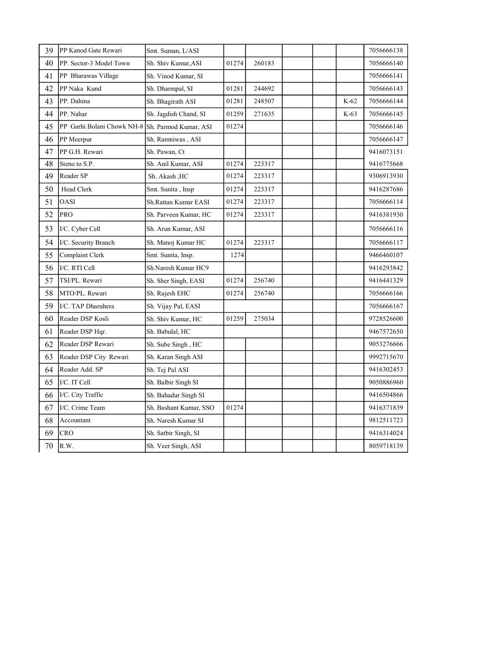| 39 | PP Kanod Gate Rewari       | Smt. Suman, L/ASI      |       |        |  |        | 7056666138 |
|----|----------------------------|------------------------|-------|--------|--|--------|------------|
| 40 | PP. Sector-3 Model Town    | Sh. Shiv Kumar,ASI     | 01274 | 260183 |  |        | 7056666140 |
| 41 | PP Bharawas Village        | Sh. Vinod Kumar, SI    |       |        |  |        | 7056666141 |
| 42 | PP Naka Kund               | Sh. Dharmpal, SI       | 01281 | 244692 |  |        | 7056666143 |
| 43 | PP. Dahina                 | Sh. Bhagirath ASI      | 01281 | 248507 |  | $K-62$ | 7056666144 |
| 44 | PP. Nahar                  | Sh. Jagdish Chand, SI  | 01259 | 271635 |  | $K-63$ | 7056666145 |
| 45 | PP Garhi Bolani Chowk NH-8 | Sh. Parmod Kumar, ASI  | 01274 |        |  |        | 7056666146 |
| 46 | PP Meerpur                 | Sh. Ramniwas, ASI      |       |        |  |        | 7056666147 |
| 47 | PP G.H. Rewari             | Sh. Pawan, Ct          |       |        |  |        | 9416073151 |
| 48 | Steno to S.P.              | Sh. Anil Kumar, ASI    | 01274 | 223317 |  |        | 9416775668 |
| 49 | Reader SP                  | Sh. Akash , HC         | 01274 | 223317 |  |        | 9306913930 |
| 50 | Head Clerk                 | Smt. Sunita, Insp      | 01274 | 223317 |  |        | 9416287686 |
| 51 | OASI                       | Sh.Rattan Kumar EASI   | 01274 | 223317 |  |        | 7056666114 |
| 52 | PRO                        | Sh. Parveen Kumar, HC  | 01274 | 223317 |  |        | 9416381930 |
| 53 | I/C. Cyber Cell            | Sh. Arun Kumar, ASI    |       |        |  |        | 7056666116 |
| 54 | I/C. Security Branch       | Sh. Manoj Kumar HC     | 01274 | 223317 |  |        | 7056666117 |
| 55 | Complaint Clerk            | Smt. Sunita, Insp.     | 1274  |        |  |        | 9466460107 |
| 56 | I/C. RTI Cell              | Sh.Naresh Kumar HC9    |       |        |  |        | 9416293842 |
| 57 | TSI/PL. Rewari             | Sh. Sher Singh, EASI   | 01274 | 256740 |  |        | 9416441329 |
| 58 | MTO/PL. Rewari             | Sh. Rajesh EHC         | 01274 | 256740 |  |        | 7056666166 |
| 59 | I/C. TAP Dharuhera         | Sh. Vijay Pal, EASI    |       |        |  |        | 7056666167 |
| 60 | Reader DSP Kosli           | Sh. Shiv Kumar, HC     | 01259 | 275034 |  |        | 9728526600 |
| 61 | Reader DSP Hqr.            | Sh. Babulal, HC        |       |        |  |        | 9467572650 |
| 62 | Reader DSP Rewari          | Sh. Sube Singh, HC     |       |        |  |        | 9053276666 |
| 63 | Reader DSP City Rewari     | Sh. Karan Singh ASI    |       |        |  |        | 9992715670 |
| 64 | Reader Add. SP             | Sh. Tej Pal ASI        |       |        |  |        | 9416302453 |
| 65 | I/C. IT Cell               | Sh. Balbir Singh SI    |       |        |  |        | 9050886960 |
| 66 | I/C. City Traffic          | Sh. Bahadur Singh SI   |       |        |  |        | 9416504866 |
| 67 | I/C. Crime Team            | Sh. Bashant Kumar, SSO | 01274 |        |  |        | 9416371839 |
| 68 | Accountant                 | Sh. Naresh Kumar SI    |       |        |  |        | 9812511723 |
| 69 | CRO                        | Sh. Satbir Singh, SI   |       |        |  |        | 9416314024 |
| 70 | R.W.                       | Sh. Veer Singh, ASI    |       |        |  |        | 8059718139 |